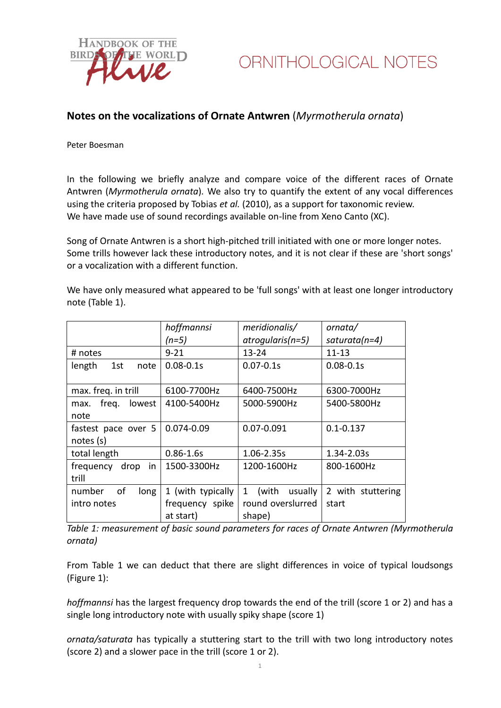

## **Notes on the vocalizations of Ornate Antwren** (*Myrmotherula ornata*)

Peter Boesman

In the following we briefly analyze and compare voice of the different races of Ornate Antwren (*Myrmotherula ornata*)*.* We also try to quantify the extent of any vocal differences using the criteria proposed by Tobias *et al.* (2010), as a support for taxonomic review. We have made use of sound recordings available on-line from Xeno Canto (XC).

Song of Ornate Antwren is a short high-pitched trill initiated with one or more longer notes. Some trills however lack these introductory notes, and it is not clear if these are 'short songs' or a vocalization with a different function.

We have only measured what appeared to be 'full songs' with at least one longer introductory note (Table 1).

|                         | hoffmannsi        | meridionalis/                    | ornata/           |
|-------------------------|-------------------|----------------------------------|-------------------|
|                         | (n=5)             | atrogularis(n=5)                 | $saturata(n=4)$   |
| # notes                 | $9 - 21$          | $13 - 24$                        | $11 - 13$         |
| 1st<br>length<br>note   | $0.08 - 0.1s$     | $0.07 - 0.1s$                    | $0.08 - 0.1s$     |
| max. freq. in trill     | 6100-7700Hz       | 6400-7500Hz                      | 6300-7000Hz       |
| freq.<br>lowest<br>max. | 4100-5400Hz       | 5000-5900Hz                      | 5400-5800Hz       |
| note                    |                   |                                  |                   |
| fastest pace over 5     | 0.074-0.09        | 0.07-0.091                       | $0.1 - 0.137$     |
| notes(s)                |                   |                                  |                   |
| total length            | $0.86 - 1.6s$     | 1.06-2.35s                       | 1.34-2.03s        |
| frequency drop<br>in    | 1500-3300Hz       | 1200-1600Hz                      | 800-1600Hz        |
| trill                   |                   |                                  |                   |
| οf<br>number<br>long    | 1 (with typically | (with<br>$\mathbf{1}$<br>usually | 2 with stuttering |
| intro notes             | frequency spike   | round overslurred                | start             |
|                         | at start)         | shape)                           |                   |

*Table 1: measurement of basic sound parameters for races of Ornate Antwren (Myrmotherula ornata)*

From Table 1 we can deduct that there are slight differences in voice of typical loudsongs (Figure 1):

*hoffmannsi* has the largest frequency drop towards the end of the trill (score 1 or 2) and has a single long introductory note with usually spiky shape (score 1)

*ornata/saturata* has typically a stuttering start to the trill with two long introductory notes (score 2) and a slower pace in the trill (score 1 or 2).